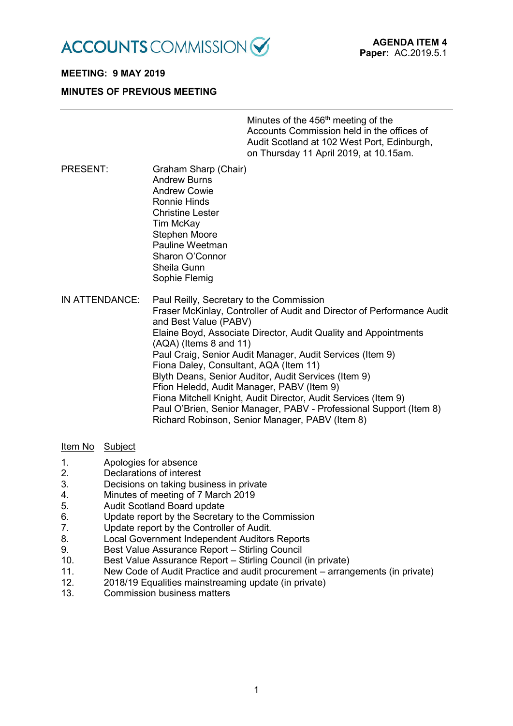

## **MEETING: 9 MAY 2019**

### **MINUTES OF PREVIOUS MEETING**

Minutes of the  $456<sup>th</sup>$  meeting of the Accounts Commission held in the offices of Audit Scotland at 102 West Port, Edinburgh, on Thursday 11 April 2019, at 10.15am.

PRESENT: Graham Sharp (Chair) Andrew Burns Andrew Cowie Ronnie Hinds Christine Lester Tim McKay Stephen Moore Pauline Weetman Sharon O'Connor Sheila Gunn Sophie Flemig

IN ATTENDANCE: Paul Reilly, Secretary to the Commission Fraser McKinlay, Controller of Audit and Director of Performance Audit and Best Value (PABV) Elaine Boyd, Associate Director, Audit Quality and Appointments (AQA) (Items 8 and 11) Paul Craig, Senior Audit Manager, Audit Services (Item 9) Fiona Daley, Consultant, AQA (Item 11) Blyth Deans, Senior Auditor, Audit Services (Item 9) Ffion Heledd, Audit Manager, PABV (Item 9) Fiona Mitchell Knight, Audit Director, Audit Services (Item 9) Paul O'Brien, Senior Manager, PABV - Professional Support (Item 8) Richard Robinson, Senior Manager, PABV (Item 8)

#### Item No Subject

- 1. Apologies for absence
- 2. Declarations of interest
- 3. Decisions on taking business in private
- 4. Minutes of meeting of 7 March 2019
- 5. Audit Scotland Board update
- 6. Update report by the Secretary to the Commission
- 7. Update report by the Controller of Audit.
- 8. Local Government Independent Auditors Reports
- 9. Best Value Assurance Report Stirling Council
- 10. Best Value Assurance Report Stirling Council (in private)
- 11. New Code of Audit Practice and audit procurement arrangements (in private)
- 12. 2018/19 Equalities mainstreaming update (in private)
- 13. Commission business matters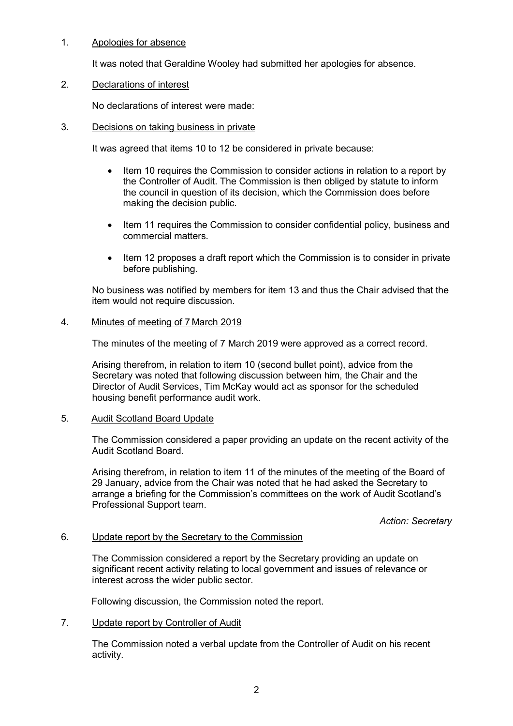## 1. Apologies for absence

It was noted that Geraldine Wooley had submitted her apologies for absence.

### 2. Declarations of interest

No declarations of interest were made:

### 3. Decisions on taking business in private

It was agreed that items 10 to 12 be considered in private because:

- Item 10 requires the Commission to consider actions in relation to a report by the Controller of Audit. The Commission is then obliged by statute to inform the council in question of its decision, which the Commission does before making the decision public.
- Item 11 requires the Commission to consider confidential policy, business and commercial matters.
- Item 12 proposes a draft report which the Commission is to consider in private before publishing.

No business was notified by members for item 13 and thus the Chair advised that the item would not require discussion.

### 4. Minutes of meeting of 7 March 2019

The minutes of the meeting of 7 March 2019 were approved as a correct record.

Arising therefrom, in relation to item 10 (second bullet point), advice from the Secretary was noted that following discussion between him, the Chair and the Director of Audit Services, Tim McKay would act as sponsor for the scheduled housing benefit performance audit work.

## 5. Audit Scotland Board Update

The Commission considered a paper providing an update on the recent activity of the Audit Scotland Board.

Arising therefrom, in relation to item 11 of the minutes of the meeting of the Board of 29 January, advice from the Chair was noted that he had asked the Secretary to arrange a briefing for the Commission's committees on the work of Audit Scotland's Professional Support team.

*Action: Secretary*

### 6. Update report by the Secretary to the Commission

The Commission considered a report by the Secretary providing an update on significant recent activity relating to local government and issues of relevance or interest across the wider public sector.

Following discussion, the Commission noted the report.

#### 7. Update report by Controller of Audit

The Commission noted a verbal update from the Controller of Audit on his recent activity.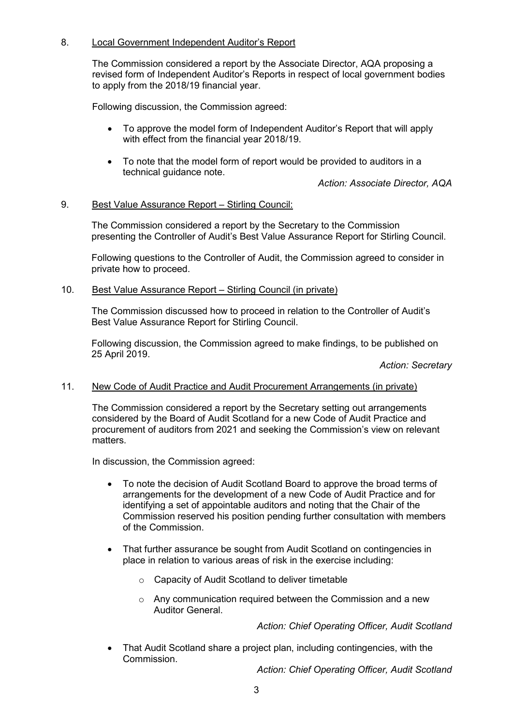# 8. Local Government Independent Auditor's Report

The Commission considered a report by the Associate Director, AQA proposing a revised form of Independent Auditor's Reports in respect of local government bodies to apply from the 2018/19 financial year.

Following discussion, the Commission agreed:

- To approve the model form of Independent Auditor's Report that will apply with effect from the financial year 2018/19.
- To note that the model form of report would be provided to auditors in a technical guidance note.

*Action: Associate Director, AQA*

## 9. Best Value Assurance Report – Stirling Council:

The Commission considered a report by the Secretary to the Commission presenting the Controller of Audit's Best Value Assurance Report for Stirling Council.

Following questions to the Controller of Audit, the Commission agreed to consider in private how to proceed.

### 10. Best Value Assurance Report – Stirling Council (in private)

The Commission discussed how to proceed in relation to the Controller of Audit's Best Value Assurance Report for Stirling Council.

Following discussion, the Commission agreed to make findings, to be published on 25 April 2019.

*Action: Secretary*

## 11. New Code of Audit Practice and Audit Procurement Arrangements (in private)

The Commission considered a report by the Secretary setting out arrangements considered by the Board of Audit Scotland for a new Code of Audit Practice and procurement of auditors from 2021 and seeking the Commission's view on relevant matters.

In discussion, the Commission agreed:

- To note the decision of Audit Scotland Board to approve the broad terms of arrangements for the development of a new Code of Audit Practice and for identifying a set of appointable auditors and noting that the Chair of the Commission reserved his position pending further consultation with members of the Commission.
- That further assurance be sought from Audit Scotland on contingencies in place in relation to various areas of risk in the exercise including:
	- o Capacity of Audit Scotland to deliver timetable
	- o Any communication required between the Commission and a new Auditor General.

*Action: Chief Operating Officer, Audit Scotland*

• That Audit Scotland share a project plan, including contingencies, with the Commission.

*Action: Chief Operating Officer, Audit Scotland*